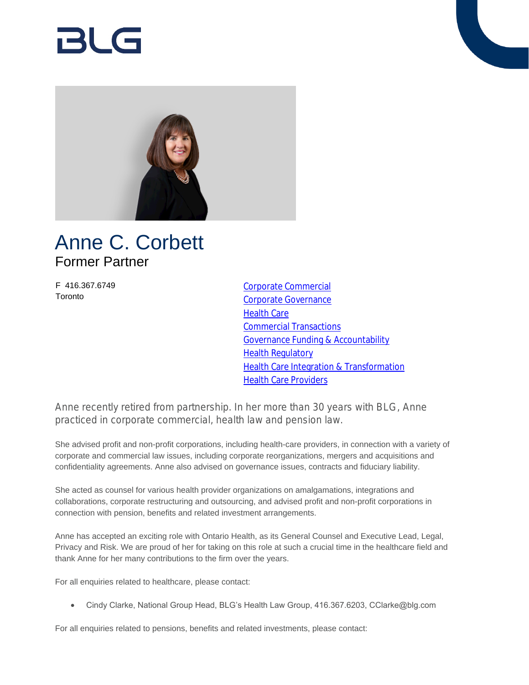# RI G



## Anne C. Corbett Former Partner

F 416.367.6749 **Toronto** 

[Corporate Commercial](https://www.blg.com/en/services/practice-areas/corporate-commercial) [Corporate Governance](https://www.blg.com/en/services/practice-areas/corporate-commercial/corporate-governance) **[Health Care](https://www.blg.com/en/services/practice-areas/health-care)** [Commercial Transactions](https://www.blg.com/en/services/practice-areas/health-care/commercial-transactions) [Governance Funding & Accountability](https://www.blg.com/en/services/practice-areas/health-care/governance-funding-accountability) [Health Regulatory](https://www.blg.com/en/services/practice-areas/health-care/health-regulatory) [Health Care Integration & Transformation](https://www.blg.com/en/services/practice-areas/health-care/health-systems-integrations-transformation) **[Health Care Providers](https://www.blg.com/en/services/industries/health-care-life-sciences/health-care-providers)** 

Anne recently retired from partnership. In her more than 30 years with BLG, Anne practiced in corporate commercial, health law and pension law.

She advised profit and non-profit corporations, including health-care providers, in connection with a variety of corporate and commercial law issues, including corporate reorganizations, mergers and acquisitions and confidentiality agreements. Anne also advised on governance issues, contracts and fiduciary liability.

She acted as counsel for various health provider organizations on amalgamations, integrations and collaborations, corporate restructuring and outsourcing, and advised profit and non-profit corporations in connection with pension, benefits and related investment arrangements.

Anne has accepted an exciting role with Ontario Health, as its General Counsel and Executive Lead, Legal, Privacy and Risk. We are proud of her for taking on this role at such a crucial time in the healthcare field and thank Anne for her many contributions to the firm over the years.

For all enquiries related to healthcare, please contact:

Cindy Clarke, National Group Head, BLG's Health Law Group, 416.367.6203, CClarke@blg.com

For all enquiries related to pensions, benefits and related investments, please contact: